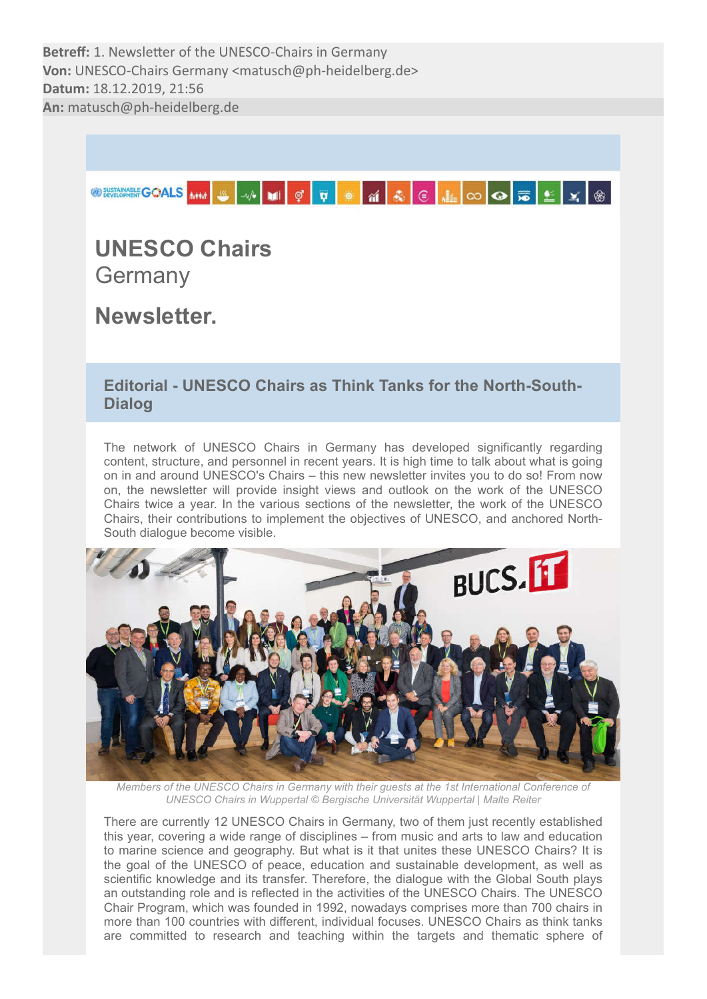

# UNESCO Chairs **Germany**

Newsletter.

# Editorial - UNESCO Chairs as Think Tanks for the North-South-Dialog

The network of UNESCO Chairs in Germany has developed significantly regarding content, structure, and personnel in recent years. It is high time to talk about what is going on in and around UNESCO's Chairs – this new newsletter invites you to do so! From now on, the newsletter will provide insight views and outlook on the work of the UNESCO Chairs twice a year. In the various sections of the newsletter, the work of the UNESCO Chairs, their contributions to implement the objectives of UNESCO, and anchored North-South dialogue become visible.



*Members of the UNESCO Chairs in Germany with their guests at the 1st International Conference of UNESCO Chairs in Wuppertal © Bergische Universität Wuppertal | Malte Reiter*

There are currently 12 UNESCO Chairs in Germany, two of them just recently established this year, covering a wide range of disciplines – from music and arts to law and education to marine science and geography. But what is it that unites these UNESCO Chairs? It is the goal of the UNESCO of peace, education and sustainable development, as well as scientific knowledge and its transfer. Therefore, the dialogue with the Global South plays an outstanding role and is reflected in the activities of the UNESCO Chairs. The UNESCO Chair Program, which was founded in 1992, nowadays comprises more than 700 chairs in more than 100 countries with different, individual focuses. UNESCO Chairs as think tanks are committed to research and teaching within the targets and thematic sphere of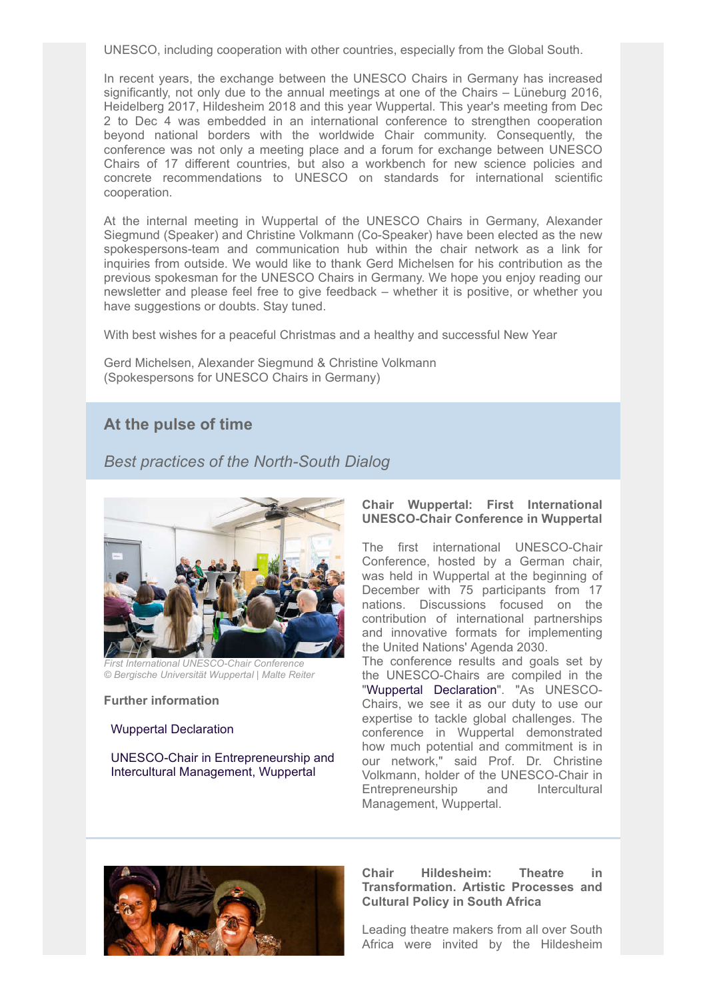UNESCO, including cooperation with other countries, especially from the Global South.

In recent years, the exchange between the UNESCO Chairs in Germany has increased significantly, not only due to the annual meetings at one of the Chairs – Lüneburg 2016, Heidelberg 2017, Hildesheim 2018 and this year Wuppertal. This year's meeting from Dec 2 to Dec 4 was embedded in an international conference to strengthen cooperation beyond national borders with the worldwide Chair community. Consequently, the conference was not only a meeting place and a forum for exchange between UNESCO Chairs of 17 different countries, but also a workbench for new science policies and concrete recommendations to UNESCO on standards for international scientific cooperation.

At the internal meeting in Wuppertal of the UNESCO Chairs in Germany, Alexander Siegmund (Speaker) and Christine Volkmann (Co-Speaker) have been elected as the new spokespersons-team and communication hub within the chair network as a link for inquiries from outside. We would like to thank Gerd Michelsen for his contribution as the previous spokesman for the UNESCO Chairs in Germany. We hope you enjoy reading our newsletter and please feel free to give feedback – whether it is positive, or whether you have suggestions or doubts. Stay tuned.

With best wishes for a peaceful Christmas and a healthy and successful New Year

Gerd Michelsen, Alexander Siegmund & Christine Volkmann (Spokespersons for UNESCO Chairs in Germany)

# At the pulse of time

# *Best practices of the North-South Dialog*



*First International UNESCO-Chair Conference © Bergische Universität Wuppertal | Malte Reiter*

# Further information

### Wuppertal Declaration

 UNESCO-Chair in Entrepreneurship and Intercultural Management, Wuppertal

# Chair Wuppertal: First International UNESCO-Chair Conference in Wuppertal

The first international UNESCO-Chair Conference, hosted by a German chair, was held in Wuppertal at the beginning of December with 75 participants from 17 nations. Discussions focused on the contribution of international partnerships and innovative formats for implementing the United Nations' Agenda 2030.

The conference results and goals set by the UNESCO-Chairs are compiled in the "Wuppertal Declaration". "As UNESCO-Chairs, we see it as our duty to use our expertise to tackle global challenges. The conference in Wuppertal demonstrated how much potential and commitment is in our network," said Prof. Dr. Christine Volkmann, holder of the UNESCO-Chair in Entrepreneurship and Intercultural Management, Wuppertal.



# Chair Hildesheim: Theatre in Transformation. Artistic Processes and Cultural Policy in South Africa

Leading theatre makers from all over South Africa were invited by the Hildesheim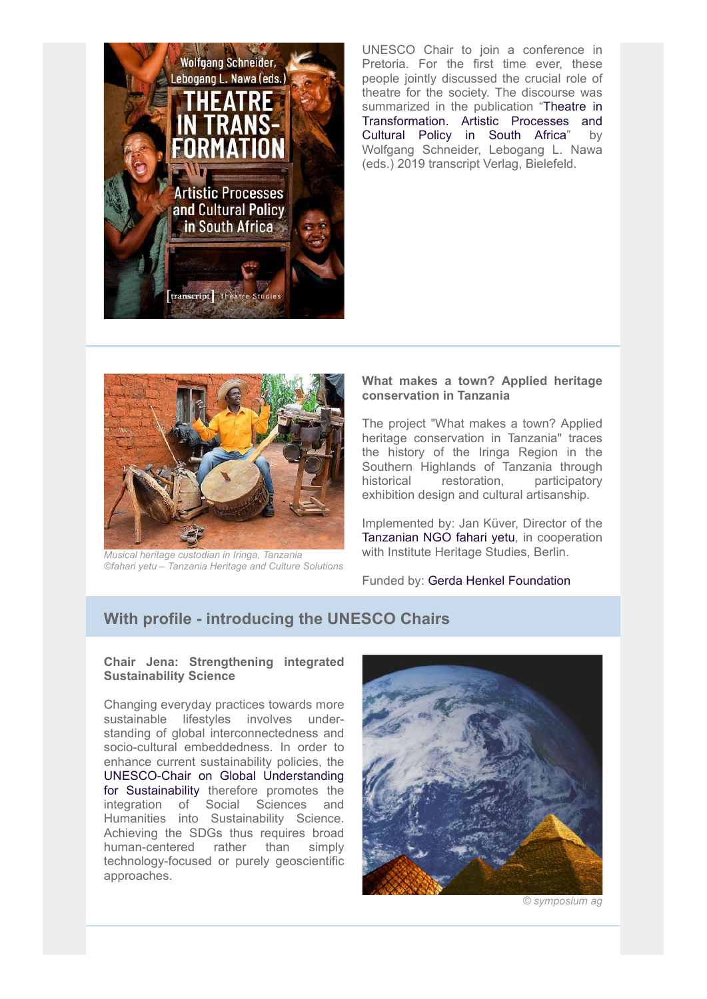

UNESCO Chair to join a conference in Pretoria. For the first time ever, these people jointly discussed the crucial role of theatre for the society. The discourse was summarized in the publication "Theatre in Transformation. Artistic Processes and Cultural Policy in South Africa" by Wolfgang Schneider, Lebogang L. Nawa (eds.) 2019 transcript Verlag, Bielefeld.



*Musical heritage custodian in Iringa, Tanzania ©fahari yetu – Tanzania Heritage and Culture Solutions*

# What makes a town? Applied heritage conservation in Tanzania

The project "What makes a town? Applied heritage conservation in Tanzania" traces the history of the Iringa Region in the Southern Highlands of Tanzania through historical restoration, participatory exhibition design and cultural artisanship.

Implemented by: Jan Küver, Director of the Tanzanian NGO fahari yetu, in cooperation with Institute Heritage Studies, Berlin.

Funded by: Gerda Henkel Foundation

# With profile - introducing the UNESCO Chairs

### Chair Jena: Strengthening integrated Sustainability Science

Changing everyday practices towards more sustainable lifestyles involves understanding of global interconnectedness and socio-cultural embeddedness. In order to enhance current sustainability policies, the UNESCO-Chair on Global Understanding for Sustainability therefore promotes the integration of Social Sciences and Humanities into Sustainability Science. Achieving the SDGs thus requires broad human-centered rather than simply technology-focused or purely geoscientific approaches.



*© symposium ag*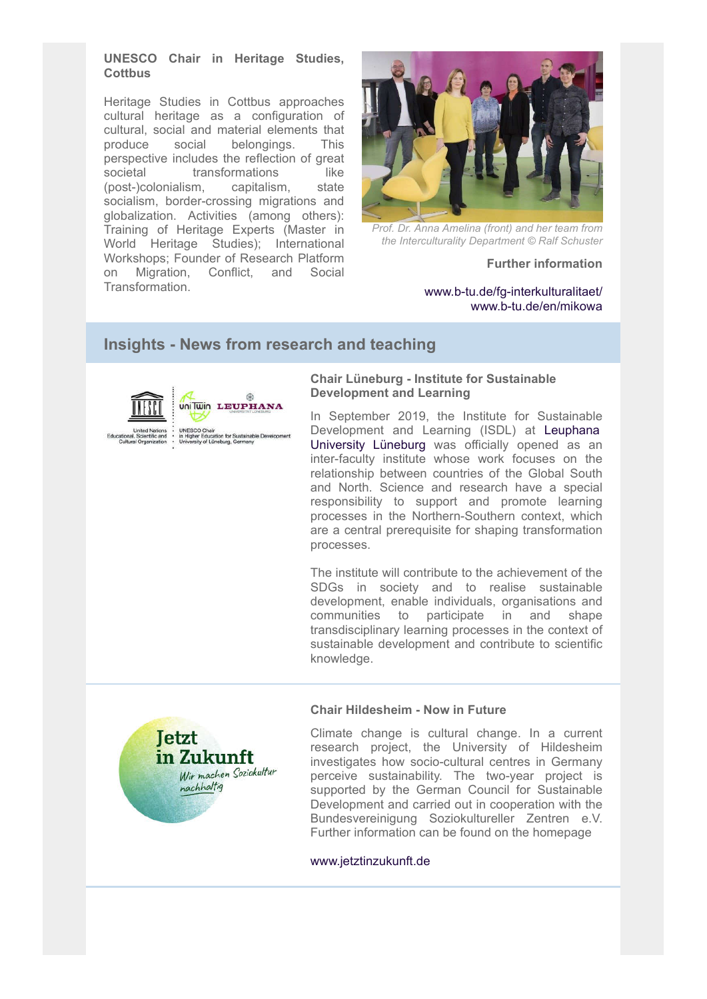# UNESCO Chair in Heritage Studies, **Cottbus**

Heritage Studies in Cottbus approaches cultural heritage as a configuration of cultural, social and material elements that produce social belongings. This perspective includes the reflection of great societal transformations like (post-)colonialism, capitalism, state socialism, border-crossing migrations and globalization. Activities (among others): Training of Heritage Experts (Master in World Heritage Studies); International Workshops; Founder of Research Platform on Migration, Conflict, and Social Transformation.



*Prof. Dr. Anna Amelina (front) and her team from the Interculturality Department © Ralf Schuster*

### Further information

www.b-tu.de/fg-interkulturalitaet/ www.b-tu.de/en/mikowa

# Insights - News from research and teaching

 $\otimes$ 



UNESCO Chair<br>in Higher Education for Sustainable Development<br>University of Lüneburg, Germany

### Chair Lüneburg - Institute for Sustainable Development and Learning

In September 2019, the Institute for Sustainable Development and Learning (ISDL) at Leuphana University Lüneburg was officially opened as an inter-faculty institute whose work focuses on the relationship between countries of the Global South and North. Science and research have a special responsibility to support and promote learning processes in the Northern-Southern context, which are a central prerequisite for shaping transformation processes.

The institute will contribute to the achievement of the SDGs in society and to realise sustainable development, enable individuals, organisations and communities to participate in and shape transdisciplinary learning processes in the context of sustainable development and contribute to scientific knowledge.

# Chair Hildesheim - Now in Future

Climate change is cultural change. In a current research project, the University of Hildesheim investigates how socio-cultural centres in Germany perceive sustainability. The two-year project is supported by the German Council for Sustainable Development and carried out in cooperation with the Bundesvereinigung Soziokultureller Zentren e.V. Further information can be found on the homepage

### www.jetztinzukunft.de

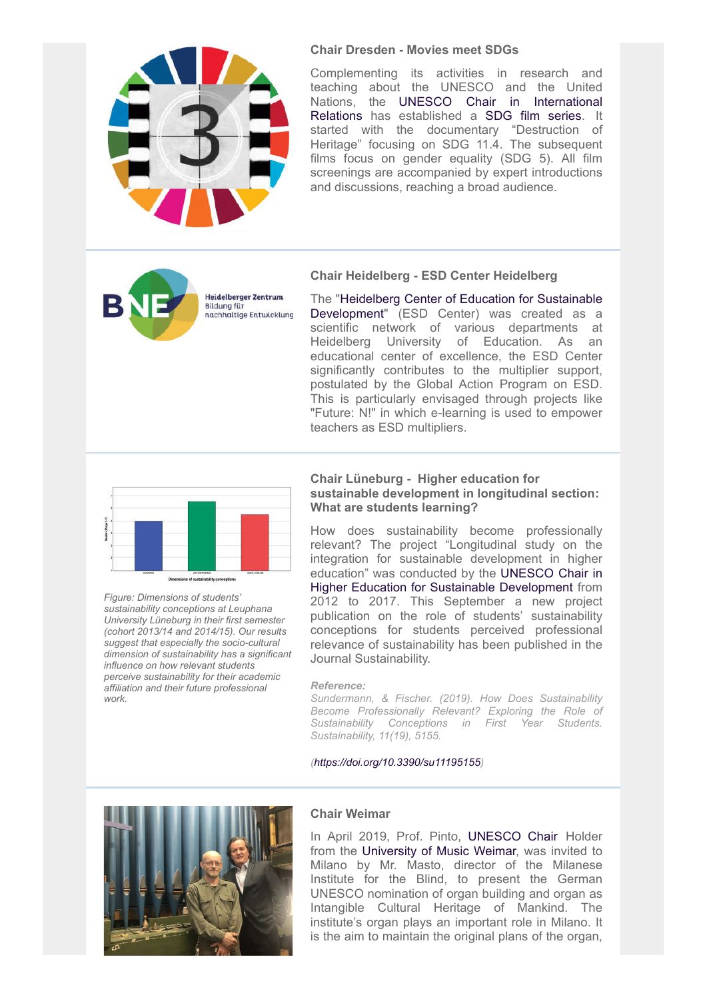

#### Chair Dresden - Movies meet SDGs

Complementing its activities in research and teaching about the UNESCO and the United Nations, the UNESCO Chair in International Relations has established a SDG film series. It started with the documentary "Destruction of Heritage" focusing on SDG 11.4. The subsequent films focus on gender equality (SDG 5). All film screenings are accompanied by expert introductions and discussions, reaching a broad audience.



#### Chair Heidelberg - ESD Center Heidelberg

The "Heidelberg Center of Education for Sustainable Development" (ESD Center) was created as a scientific network of various departments at Heidelberg University of Education. As an educational center of excellence, the ESD Center significantly contributes to the multiplier support, postulated by the Global Action Program on ESD. This is particularly envisaged through projects like "Future: N!" in which e-learning is used to empower teachers as ESD multipliers.



*Figure: Dimensions of students' sustainability conceptions at Leuphana University Lüneburg in their first semester (cohort 2013/14 and 2014/15). Our results suggest that especially the socio-cultural dimension of sustainability has a significant influence on how relevant students perceive sustainability for their academic affiliation and their future professional work.*

#### Chair Lüneburg - Higher education for sustainable development in longitudinal section: What are students learning?

How does sustainability become professionally relevant? The project "Longitudinal study on the integration for sustainable development in higher education" was conducted by the UNESCO Chair in Higher Education for Sustainable Development from 2012 to 2017. This September a new project publication on the role of students' sustainability conceptions for students perceived professional relevance of sustainability has been published in the Journal Sustainability.

#### *Reference:*

*Sundermann, & Fischer. (2019). How Does Sustainability Become Professionally Relevant? Exploring the Role of Sustainability Conceptions in First Year Students. Sustainability, 11(19), 5155.*

#### *(https://doi.org/10.3390/su11195155)*



#### Chair Weimar

In April 2019, Prof. Pinto, UNESCO Chair Holder from the University of Music Weimar, was invited to Milano by Mr. Masto, director of the Milanese Institute for the Blind, to present the German UNESCO nomination of organ building and organ as Intangible Cultural Heritage of Mankind. The institute's organ plays an important role in Milano. It is the aim to maintain the original plans of the organ.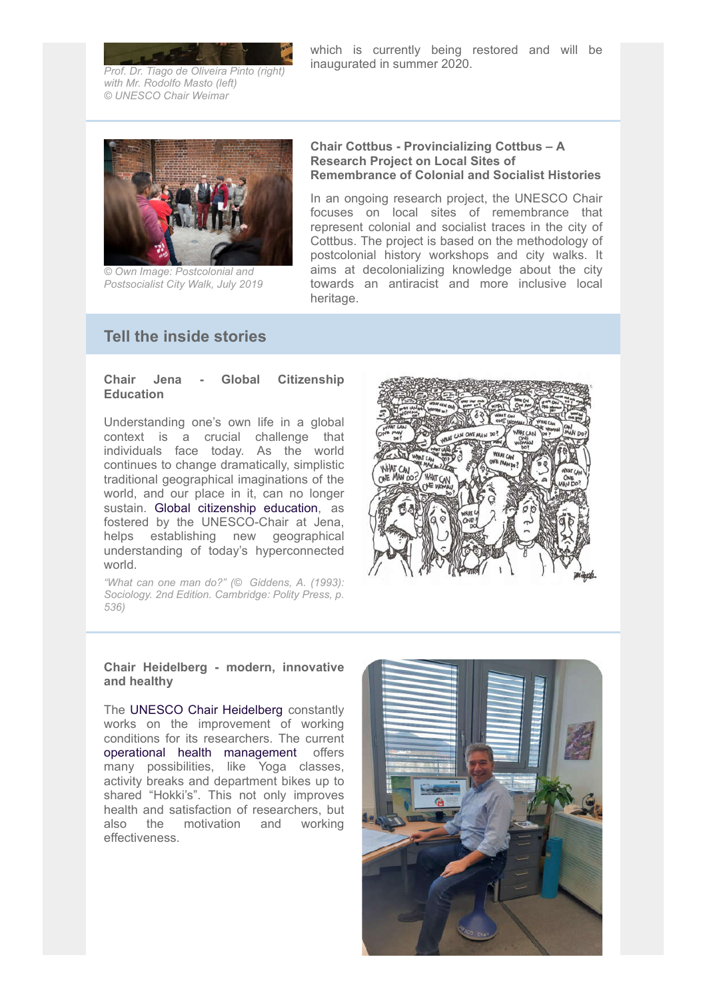which is currently being restored and will be inaugurated in summer 2020.

*Prof. Dr. Tiago de Oliveira Pinto (right) with Mr. Rodolfo Masto (left) © UNESCO Chair Weimar*



*© Own Image: Postcolonial and Postsocialist City Walk, July 2019*

### Chair Cottbus - Provincializing Cottbus – A Research Project on Local Sites of Remembrance of Colonial and Socialist Histories

In an ongoing research project, the UNESCO Chair focuses on local sites of remembrance that represent colonial and socialist traces in the city of Cottbus. The project is based on the methodology of postcolonial history workshops and city walks. It aims at decolonializing knowledge about the city towards an antiracist and more inclusive local heritage.

# Tell the inside stories

### Chair Jena - Global Citizenship **Education**

Understanding one's own life in a global context is a crucial challenge that individuals face today. As the world continues to change dramatically, simplistic traditional geographical imaginations of the world, and our place in it, can no longer sustain. Global citizenship education, as fostered by the UNESCO-Chair at Jena, helps establishing new geographical understanding of today's hyperconnected world.

*"What can one man do?" (© Giddens, A. (1993): Sociology. 2nd Edition. Cambridge: Polity Press, p. 536)*



### Chair Heidelberg - modern, innovative and healthy

The UNESCO Chair Heidelberg constantly works on the improvement of working conditions for its researchers. The current operational health management offers many possibilities, like Yoga classes, activity breaks and department bikes up to shared "Hokki's". This not only improves health and satisfaction of researchers, but also the motivation and working effectiveness.

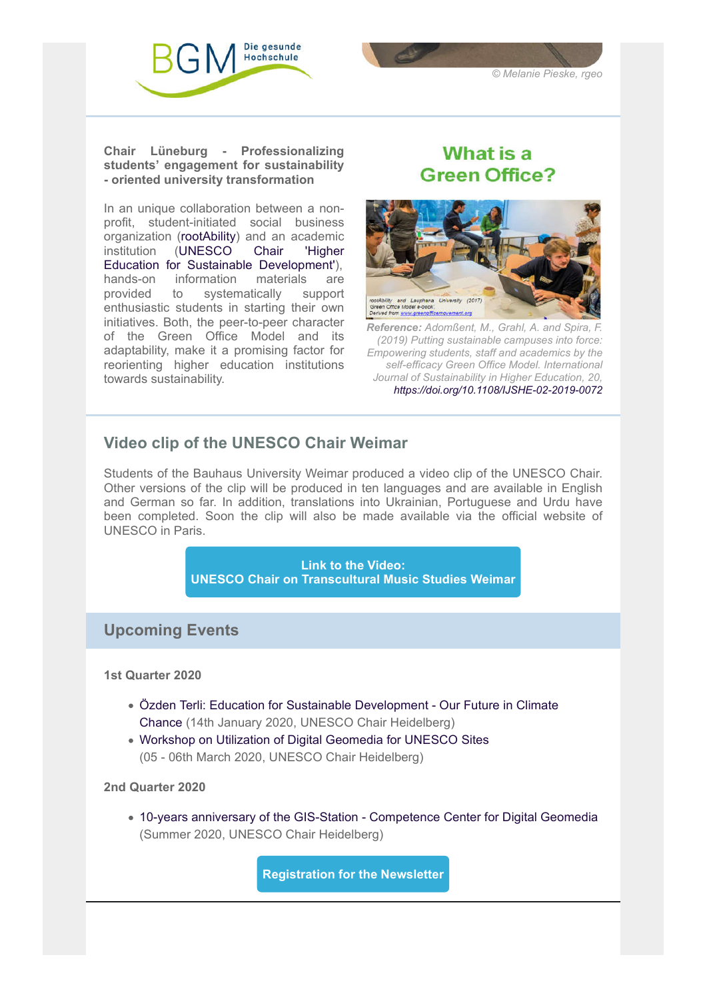



Chair Lüneburg - Professionalizing students' engagement for sustainability - oriented university transformation

In an unique collaboration between a nonprofit, student-initiated social business organization (rootAbility) and an academic institution (UNESCO Chair 'Higher Education for Sustainable Development'), hands-on information materials are<br>provided to systematically support provided to systematically enthusiastic students in starting their own initiatives. Both, the peer-to-peer character of the Green Office Model and its adaptability, make it a promising factor for reorienting higher education institutions towards sustainability.

# What is a **Green Office?**



*Reference: Adomßent, M., Grahl, A. and Spira, F. (2019) Putting sustainable campuses into force: Empowering students, staff and academics by the self-efficacy Green Office Model. International Journal of Sustainability in Higher Education, 20, https://doi.org/10.1108/IJSHE-02-2019-0072*

# Video clip of the UNESCO Chair Weimar

Students of the Bauhaus University Weimar produced a video clip of the UNESCO Chair. Other versions of the clip will be produced in ten languages and are available in English and German so far. In addition, translations into Ukrainian, Portuguese and Urdu have been completed. Soon the clip will also be made available via the official website of UNESCO in Paris.



# Upcoming Events

1st Quarter 2020

- Özden Terli: Education for Sustainable Development Our Future in Climate Chance (14th January 2020, UNESCO Chair Heidelberg)
- Workshop on Utilization of Digital Geomedia for UNESCO Sites (05 - 06th March 2020, UNESCO Chair Heidelberg)

# 2nd Quarter 2020

10-years anniversary of the GIS-Station - Competence Center for Digital Geomedia (Summer 2020, UNESCO Chair Heidelberg)

Registration for the Newsletter